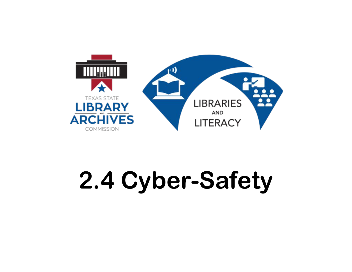

### **2.4 Cyber-Safety**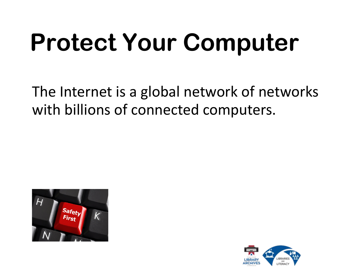The Internet is a global network of networks with billions of connected computers.



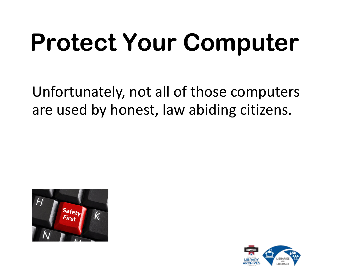Unfortunately, not all of those computers are used by honest, law abiding citizens.



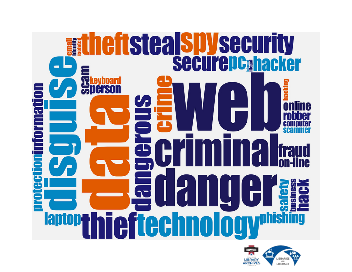

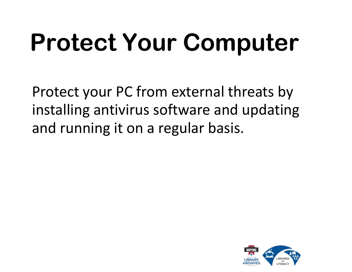Protect your PC from external threats by installing antivirus software and updating and running it on a regular basis.

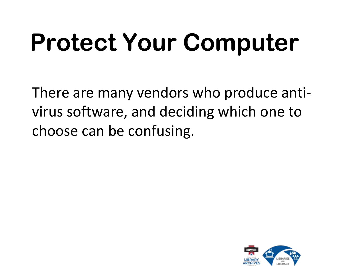There are many vendors who produce antivirus software, and deciding which one to choose can be confusing.

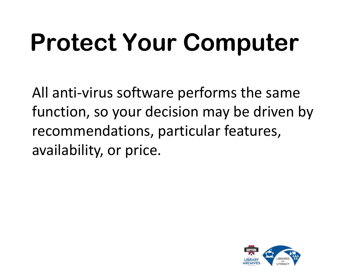All anti-virus software performs the same function, so your decision may be driven by recommendations, particular features, availability, or price.

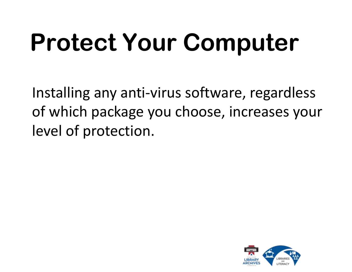Installing any anti-virus software, regardless of which package you choose, increases your level of protection.

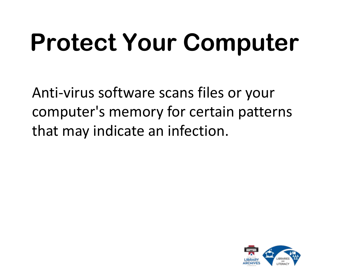Anti-virus software scans files or your computer's memory for certain patterns that may indicate an infection.

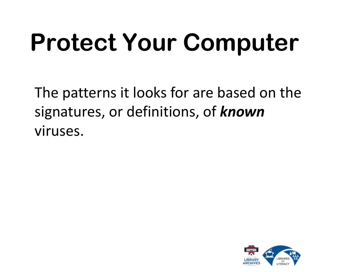The patterns it looks for are based on the signatures, or definitions, of *known* viruses.

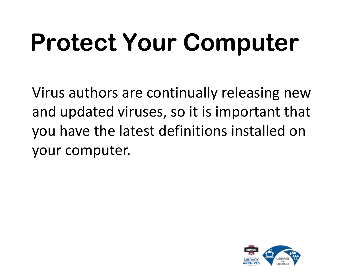Virus authors are continually releasing new and updated viruses, so it is important that you have the latest definitions installed on your computer.

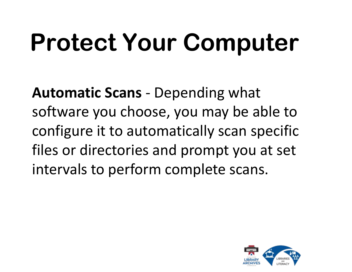**Automatic Scans** - Depending what software you choose, you may be able to configure it to automatically scan specific files or directories and prompt you at set intervals to perform complete scans.

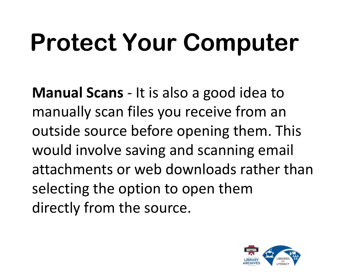**Manual Scans** - It is also a good idea to manually scan files you receive from an outside source before opening them. This would involve saving and scanning email attachments or web downloads rather than selecting the option to open them directly from the source.

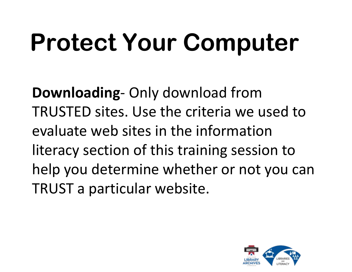**Downloading**- Only download from TRUSTED sites. Use the criteria we used to evaluate web sites in the information literacy section of this training session to help you determine whether or not you can TRUST a particular website.

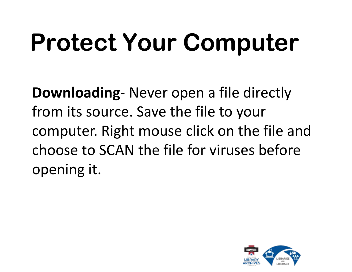**Downloading**- Never open a file directly from its source. Save the file to your computer. Right mouse click on the file and choose to SCAN the file for viruses before opening it.

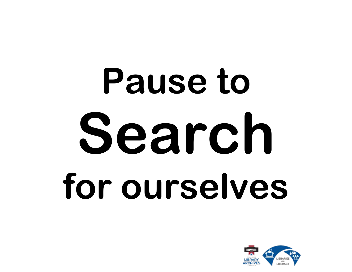# **Pause to Search for ourselves**

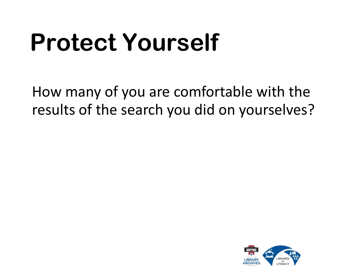#### **Protect Yourself**

How many of you are comfortable with the results of the search you did on yourselves?

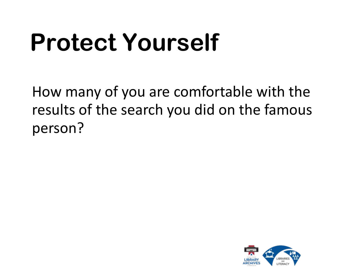### **Protect Yourself**

How many of you are comfortable with the results of the search you did on the famous person?

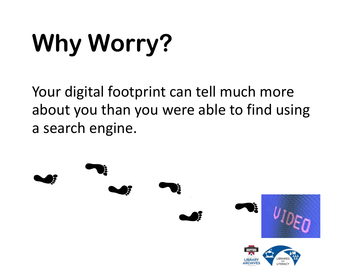### **Why Worry?**

Your digital footprint can tell much more about you than you were able to find using a search engine.

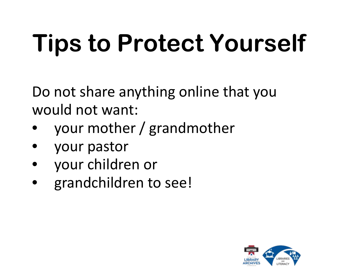Do not share anything online that you would not want:

- your mother / grandmother
- your pastor
- your children or
- grandchildren to see!

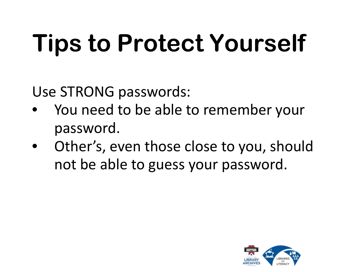Use STRONG passwords:

- You need to be able to remember your password.
- Other's, even those close to you, should not be able to guess your password.

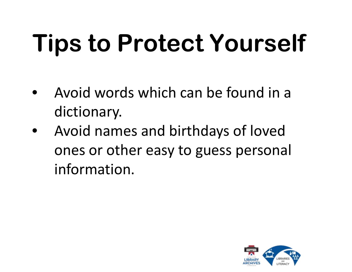- Avoid words which can be found in a dictionary.
- Avoid names and birthdays of loved ones or other easy to guess personal information.

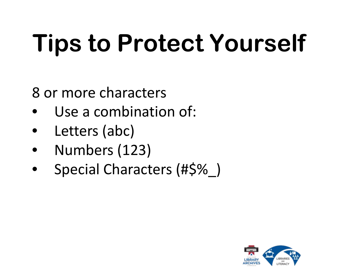8 or more characters

- Use a combination of:
- Letters (abc)
- Numbers (123)
- Special Characters (#\$%\_)

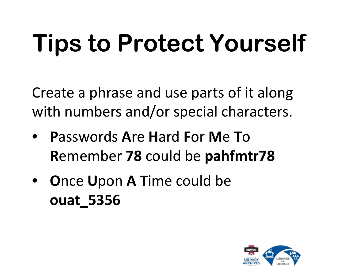Create a phrase and use parts of it along with numbers and/or special characters.

- **P**asswords **A**re **H**ard **F**or **M**e **T**o **R**emember **78** could be **pahfmtr78**
- **O**nce **U**pon **A T**ime could be **ouat\_5356**

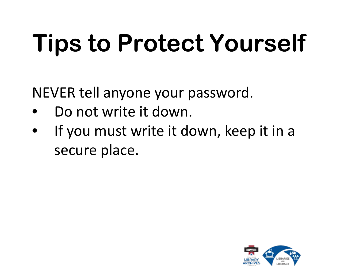NEVER tell anyone your password.

- Do not write it down.
- If you must write it down, keep it in a secure place.

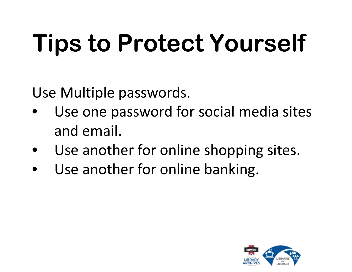Use Multiple passwords.

- Use one password for social media sites and email.
- Use another for online shopping sites.
- Use another for online banking.

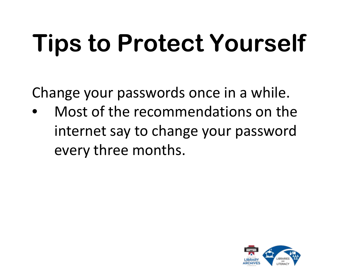Change your passwords once in a while.

• Most of the recommendations on the internet say to change your password every three months.